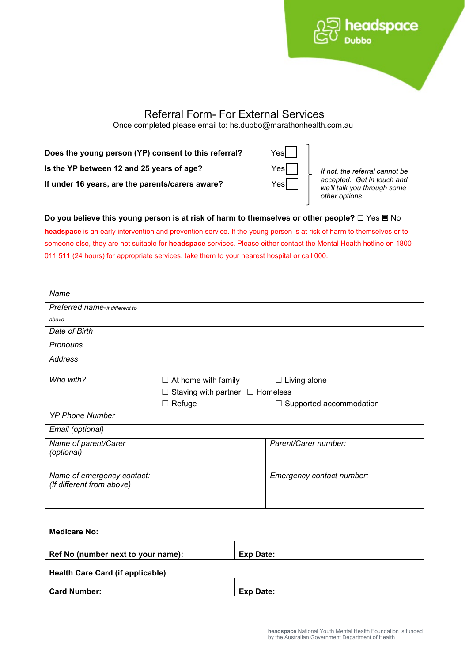

## Referral Form- For External Services

Once completed please email to: hs.dubbo@marathonhealth.com.au

**Does the young person (YP) consent to this referral?** Yes **Is the YP between 12 and 25 years of age?** Yes **If under 16 years, are the parents/carers aware?** Yes



*If not, the referral cannot be accepted. Get in touch and we'll talk you through some other options.* 

**Do you believe this young person is at risk of harm to themselves or other people?** □ Yes ■ No

**headspace** is an early intervention and prevention service. If the young person is at risk of harm to themselves or to someone else, they are not suitable for **headspace** services. Please either contact the Mental Health hotline on 1800 011 511 (24 hours) for appropriate services, take them to your nearest hospital or call 000.

| Name                                                    |                                                   |                           |  |
|---------------------------------------------------------|---------------------------------------------------|---------------------------|--|
| Preferred name-if different to                          |                                                   |                           |  |
| above                                                   |                                                   |                           |  |
| Date of Birth                                           |                                                   |                           |  |
| Pronouns                                                |                                                   |                           |  |
| <b>Address</b>                                          |                                                   |                           |  |
| Who with?                                               | $\Box$ At home with family<br>$\Box$ Living alone |                           |  |
|                                                         | Staying with partner $\Box$ Homeless              |                           |  |
|                                                         | $\Box$ Refuge                                     | Supported accommodation   |  |
| <b>YP Phone Number</b>                                  |                                                   |                           |  |
| Email (optional)                                        |                                                   |                           |  |
| Name of parent/Carer<br>(optional)                      |                                                   | Parent/Carer number:      |  |
| Name of emergency contact:<br>(If different from above) |                                                   | Emergency contact number: |  |

| <b>Medicare No:</b>                |           |  |
|------------------------------------|-----------|--|
| Ref No (number next to your name): | Exp Date: |  |
| Health Care Card (if applicable)   |           |  |
| <b>Card Number:</b>                | Exp Date: |  |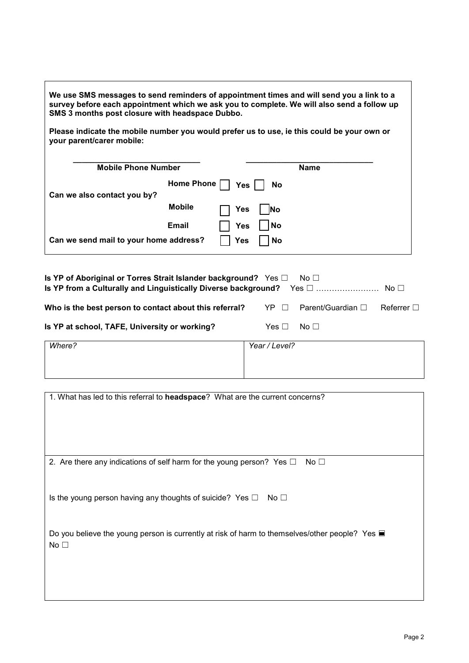| We use SMS messages to send reminders of appointment times and will send you a link to a<br>survey before each appointment which we ask you to complete. We will also send a follow up<br>SMS 3 months post closure with headspace Dubbo. |                   |      |     |             |
|-------------------------------------------------------------------------------------------------------------------------------------------------------------------------------------------------------------------------------------------|-------------------|------|-----|-------------|
| Please indicate the mobile number you would prefer us to use, ie this could be your own or<br>your parent/carer mobile:                                                                                                                   |                   |      |     |             |
| <b>Mobile Phone Number</b>                                                                                                                                                                                                                |                   |      |     | <b>Name</b> |
| Can we also contact you by?                                                                                                                                                                                                               | <b>Home Phone</b> | Yes: | No  |             |
|                                                                                                                                                                                                                                           | <b>Mobile</b>     | Yes  | INO |             |
|                                                                                                                                                                                                                                           | Email             | Yes  | No  |             |
| Can we send mail to your home address?<br>Yes<br>No                                                                                                                                                                                       |                   |      |     |             |

**Is YP of Aboriginal or Torres Strait Islander background?** Yes □ No □ **Is YP from a Culturally and Linguistically Diverse background?** Yes ☐ …………………… No ☐ **Who is the best person to contact about this referral?** YP ☐ Parent/Guardian ☐ Referrer ☐ **Is YP at school, TAFE, University or working?** Yes □ No □

| Where? | Year / Level? |
|--------|---------------|
|        |               |
|        |               |

| 1. What has led to this referral to headspace? What are the current concerns?                                  |
|----------------------------------------------------------------------------------------------------------------|
| 2. Are there any indications of self harm for the young person? Yes $\Box$<br>No $\square$                     |
| Is the young person having any thoughts of suicide? Yes $\square$<br>No $\square$                              |
| Do you believe the young person is currently at risk of harm to themselves/other people? Yes ■<br>No $\square$ |
|                                                                                                                |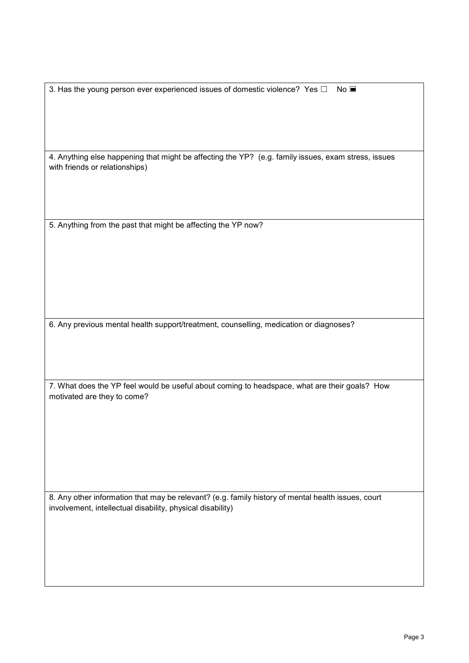3. Has the young person ever experienced issues of domestic violence? Yes  $\Box$  No  $\blacksquare$ 

4. Anything else happening that might be affecting the YP? (e.g. family issues, exam stress, issues with friends or relationships)

5. Anything from the past that might be affecting the YP now?

6. Any previous mental health support/treatment, counselling, medication or diagnoses?

7. What does the YP feel would be useful about coming to headspace, what are their goals? How motivated are they to come?

8. Any other information that may be relevant? (e.g. family history of mental health issues, court involvement, intellectual disability, physical disability)